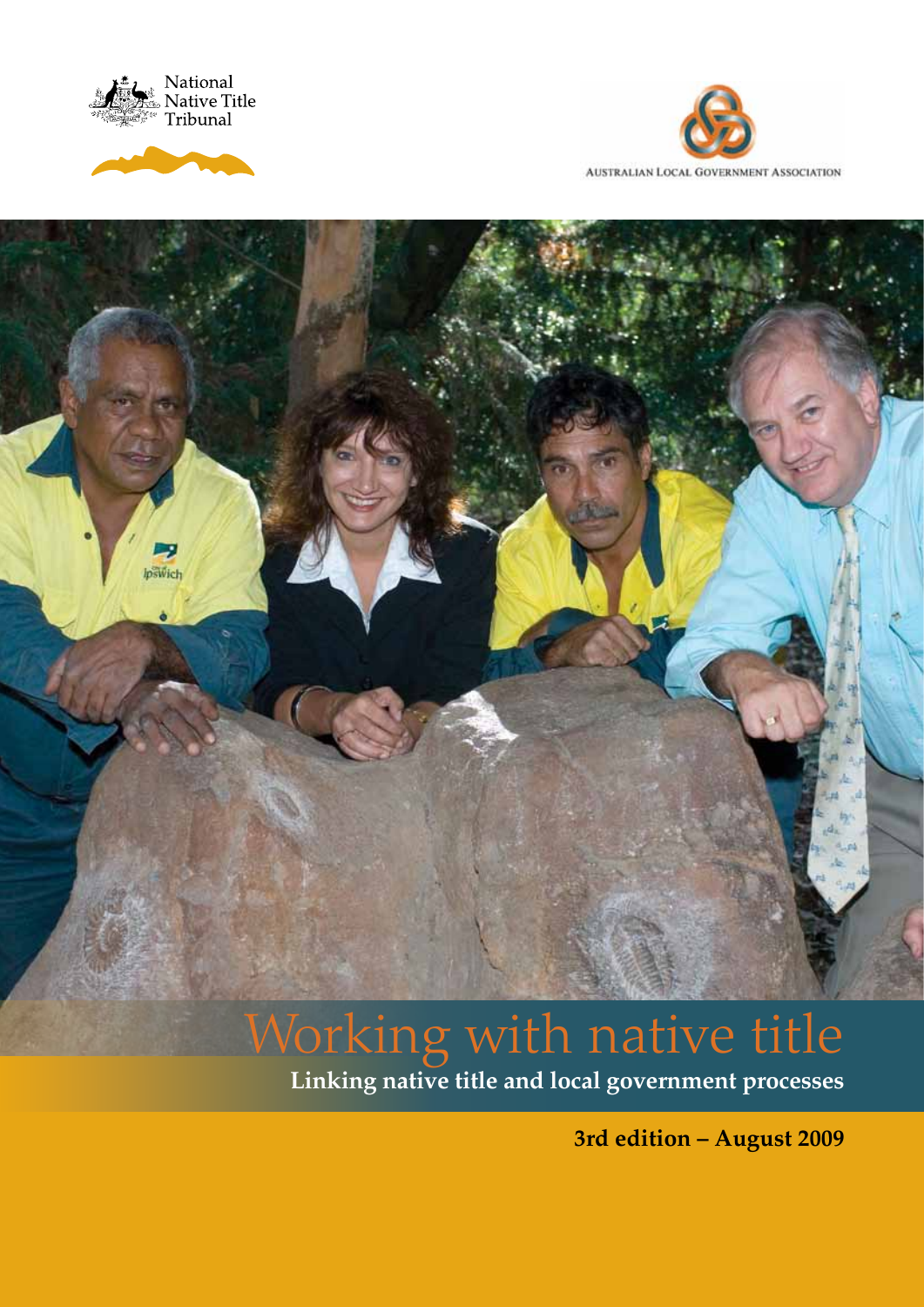





# lpswich

# Working with native title

**Linking native title and local government processes**

**3rd edition – August 2009**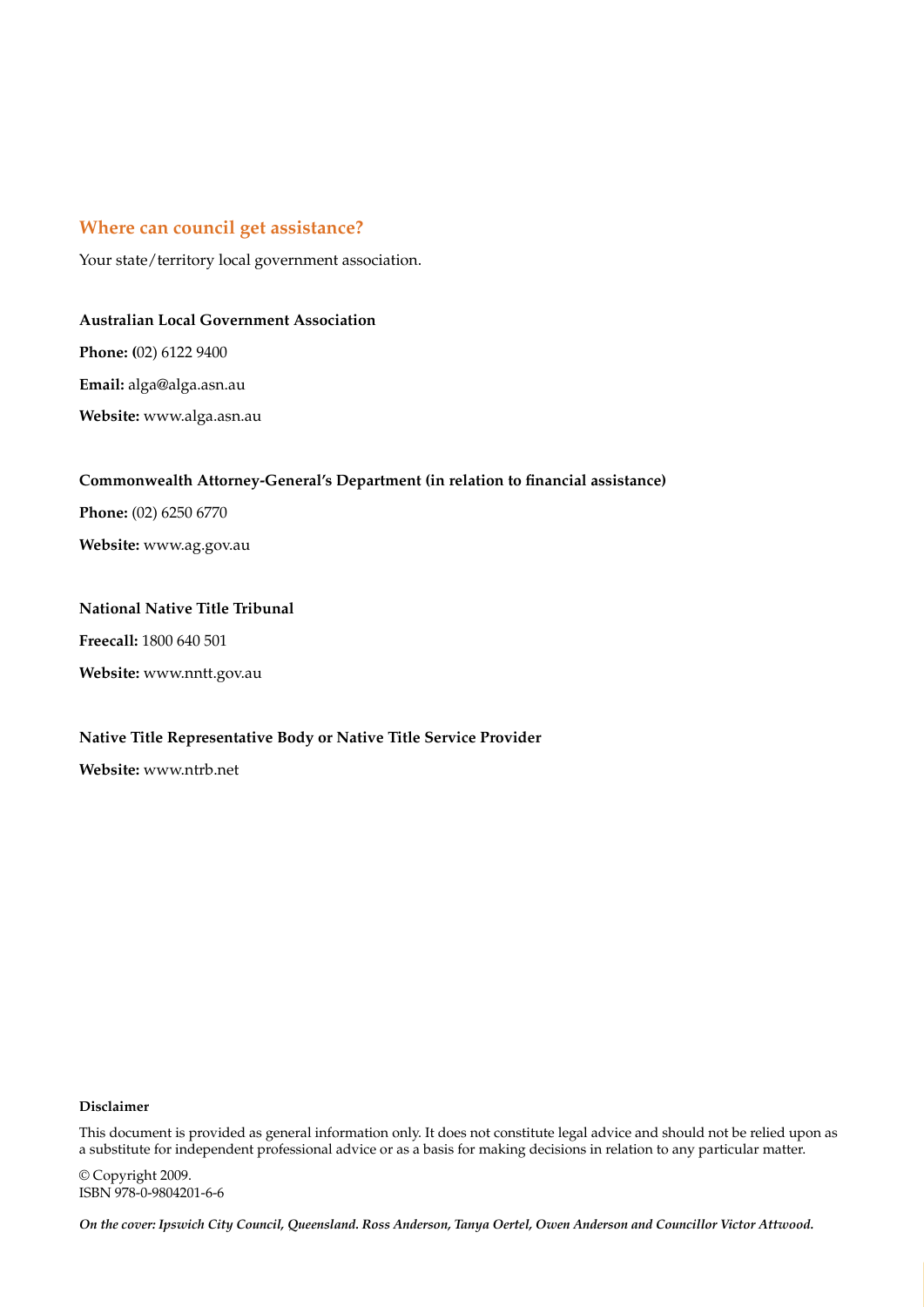### **Where can council get assistance?**

Your state/territory local government association.

### **Australian Local Government Association**

**Phone: (**02) 6122 9400

**Email:** alga@alga.asn.au

**Website:** www.alga.asn.au

### **Commonwealth Attorney-General's Department (in relation to financial assistance)**

**Phone:** (02) 6250 6770

**Website:** www.ag.gov.au

### **National Native Title Tribunal**

**Freecall:** 1800 640 501

**Website:** www.nntt.gov.au

### **Native Title Representative Body or Native Title Service Provider**

**Website:** www.ntrb.net

### **Disclaimer**

This document is provided as general information only. It does not constitute legal advice and should not be relied upon as a substitute for independent professional advice or as a basis for making decisions in relation to any particular matter.

© Copyright 2009. ISBN 978-0-9804201-6-6

*On the cover: Ipswich City Council, Queensland. Ross Anderson, Tanya Oertel, Owen Anderson and Councillor Victor Attwood.*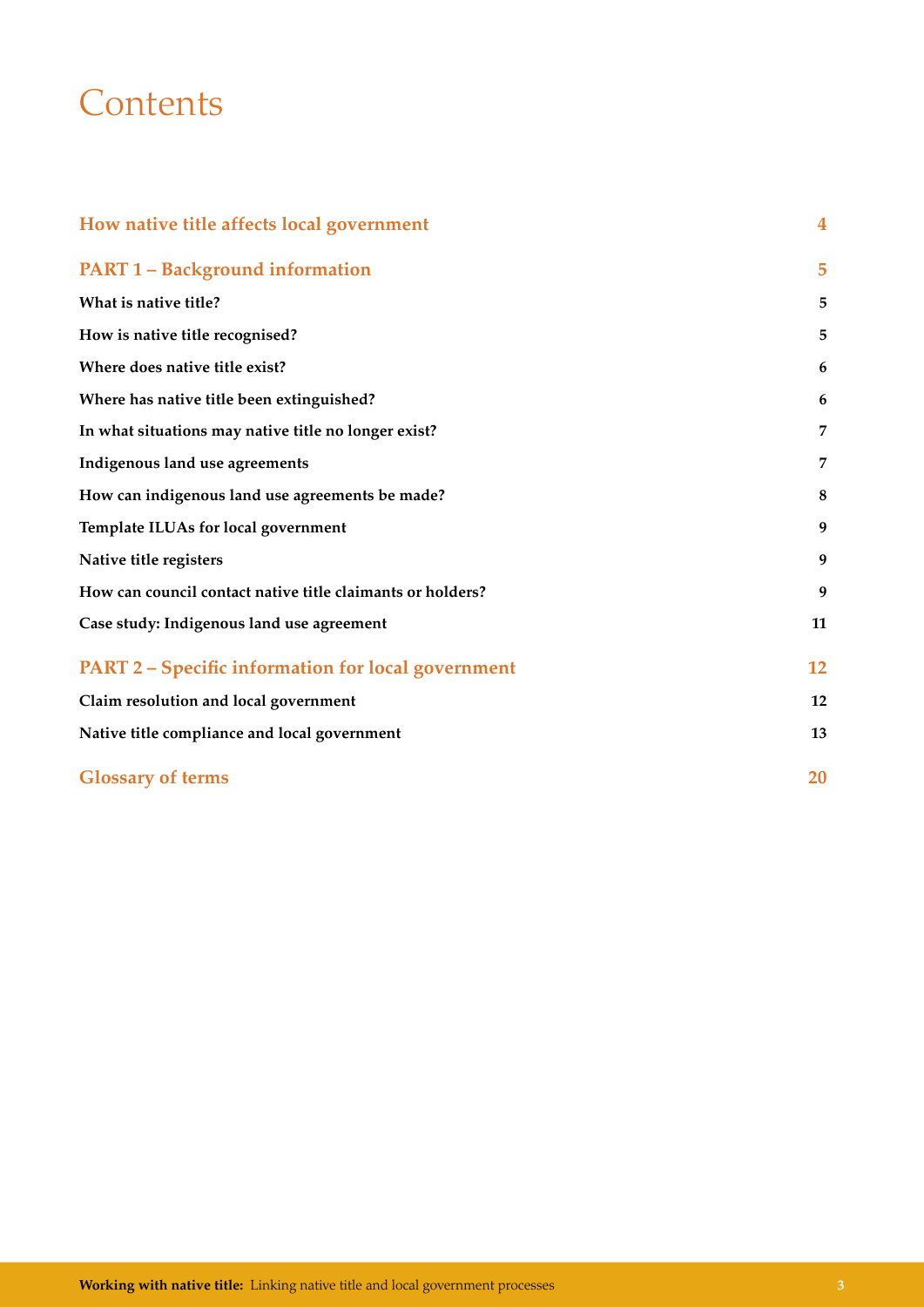# **Contents**

| How native title affects local government                  | $\overline{\mathbf{4}}$ |
|------------------------------------------------------------|-------------------------|
| <b>PART 1 - Background information</b>                     | 5                       |
| What is native title?                                      | 5                       |
| How is native title recognised?                            | 5                       |
| Where does native title exist?                             | 6                       |
| Where has native title been extinguished?                  | 6                       |
| In what situations may native title no longer exist?       | $\overline{7}$          |
| Indigenous land use agreements                             | 7                       |
| How can indigenous land use agreements be made?            | 8                       |
| Template ILUAs for local government                        | 9                       |
| Native title registers                                     | 9                       |
| How can council contact native title claimants or holders? | 9                       |
| Case study: Indigenous land use agreement                  | 11                      |
| <b>PART 2 – Specific information for local government</b>  | 12                      |
| Claim resolution and local government                      | 12                      |
| Native title compliance and local government               | 13                      |
| <b>Glossary of terms</b>                                   | 20                      |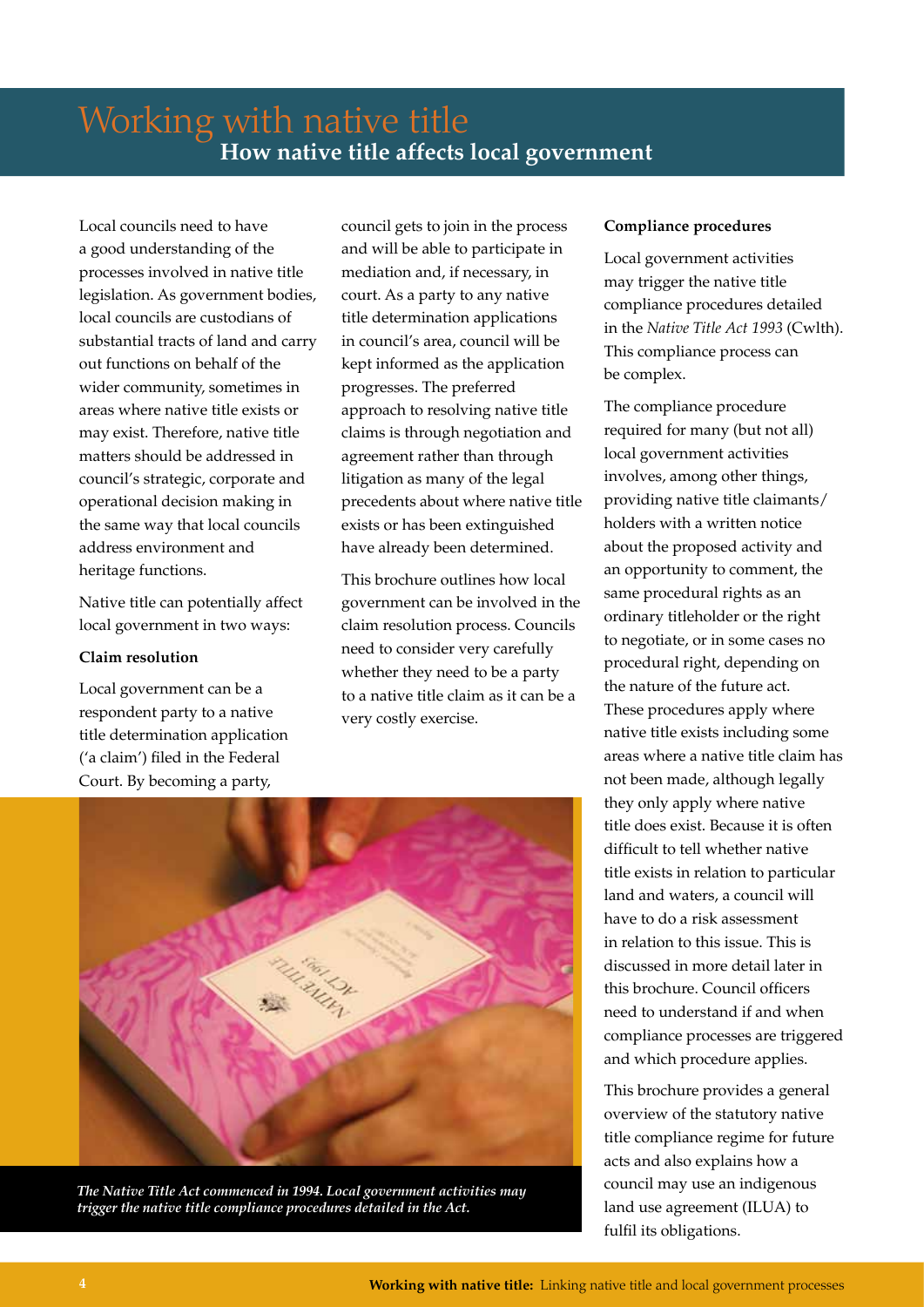# Working with native title **How native title affects local government**

Local councils need to have a good understanding of the processes involved in native title legislation. As government bodies, local councils are custodians of substantial tracts of land and carry out functions on behalf of the wider community, sometimes in areas where native title exists or may exist. Therefore, native title matters should be addressed in council's strategic, corporate and operational decision making in the same way that local councils address environment and heritage functions.

Native title can potentially affect local government in two ways:

### **Claim resolution**

Local government can be a respondent party to a native title determination application ('a claim') filed in the Federal Court. By becoming a party,

council gets to join in the process and will be able to participate in mediation and, if necessary, in court. As a party to any native title determination applications in council's area, council will be kept informed as the application progresses. The preferred approach to resolving native title claims is through negotiation and agreement rather than through litigation as many of the legal precedents about where native title exists or has been extinguished have already been determined.

This brochure outlines how local government can be involved in the claim resolution process. Councils need to consider very carefully whether they need to be a party to a native title claim as it can be a very costly exercise.



*The Native Title Act commenced in 1994. Local government activities may trigger the native title compliance procedures detailed in the Act.*

### **Compliance procedures**

Local government activities may trigger the native title compliance procedures detailed in the *Native Title Act 1993* (Cwlth). This compliance process can be complex.

The compliance procedure required for many (but not all) local government activities involves, among other things, providing native title claimants/ holders with a written notice about the proposed activity and an opportunity to comment, the same procedural rights as an ordinary titleholder or the right to negotiate, or in some cases no procedural right, depending on the nature of the future act. These procedures apply where native title exists including some areas where a native title claim has not been made, although legally they only apply where native title does exist. Because it is often difficult to tell whether native title exists in relation to particular land and waters, a council will have to do a risk assessment in relation to this issue. This is discussed in more detail later in this brochure. Council officers need to understand if and when compliance processes are triggered and which procedure applies.

This brochure provides a general overview of the statutory native title compliance regime for future acts and also explains how a council may use an indigenous land use agreement (ILUA) to fulfil its obligations.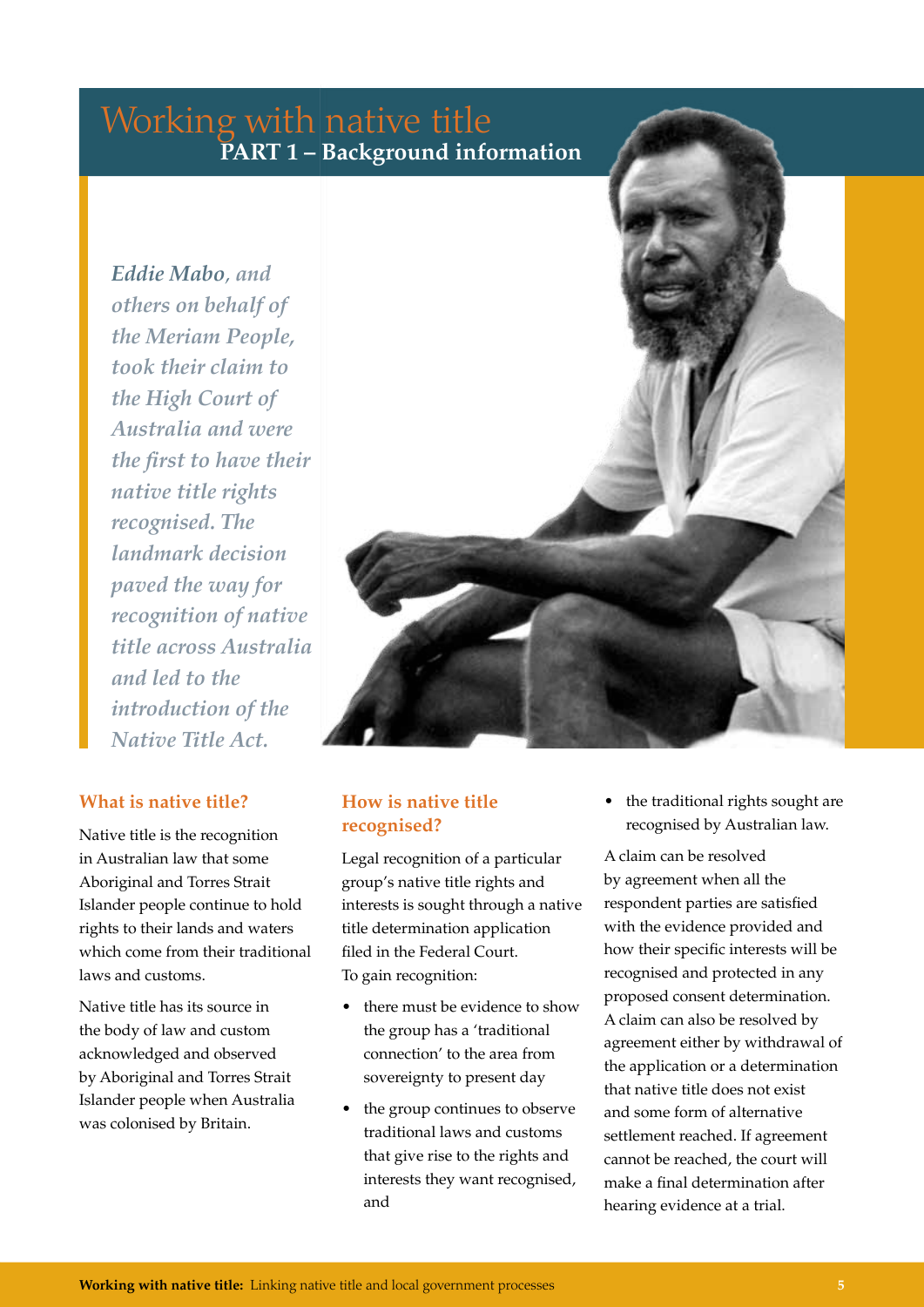## Working with native title **PART 1 – Background information**

*Eddie Mabo, and others on behalf of the Meriam People, took their claim to the High Court of Australia and were the first to have their native title rights recognised. The landmark decision paved the way for recognition of native title across Australia and led to the introduction of the Native Title Act.*

### **What is native title?**

Native title is the recognition in Australian law that some Aboriginal and Torres Strait Islander people continue to hold rights to their lands and waters which come from their traditional laws and customs.

Native title has its source in the body of law and custom acknowledged and observed by Aboriginal and Torres Strait Islander people when Australia was colonised by Britain.



### **How is native title recognised?**

Legal recognition of a particular group's native title rights and interests is sought through a native title determination application filed in the Federal Court. To gain recognition:

- there must be evidence to show the group has a 'traditional connection' to the area from sovereignty to present day
- the group continues to observe traditional laws and customs that give rise to the rights and interests they want recognised, and

• the traditional rights sought are recognised by Australian law.

A claim can be resolved by agreement when all the respondent parties are satisfied with the evidence provided and how their specific interests will be recognised and protected in any proposed consent determination. A claim can also be resolved by agreement either by withdrawal of the application or a determination that native title does not exist and some form of alternative settlement reached. If agreement cannot be reached, the court will make a final determination after hearing evidence at a trial.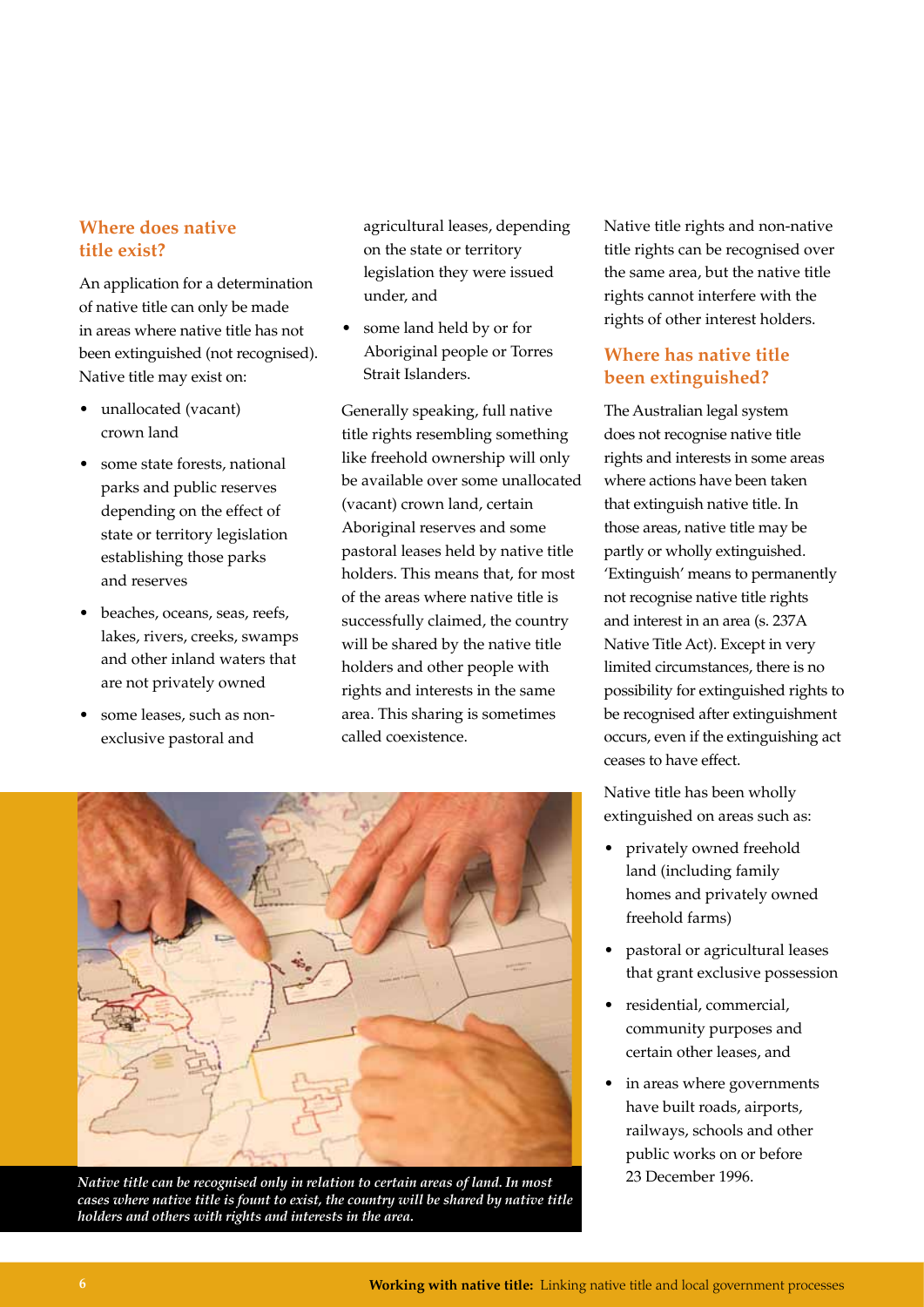### **Where does native title exist?**

An application for a determination of native title can only be made in areas where native title has not been extinguished (not recognised). Native title may exist on:

- unallocated (vacant) crown land
- some state forests, national parks and public reserves depending on the effect of state or territory legislation establishing those parks and reserves
- beaches, oceans, seas, reefs, lakes, rivers, creeks, swamps and other inland waters that are not privately owned
- some leases, such as nonexclusive pastoral and

agricultural leases, depending on the state or territory legislation they were issued under, and

• some land held by or for Aboriginal people or Torres Strait Islanders.

Generally speaking, full native title rights resembling something like freehold ownership will only be available over some unallocated (vacant) crown land, certain Aboriginal reserves and some pastoral leases held by native title holders. This means that, for most of the areas where native title is successfully claimed, the country will be shared by the native title holders and other people with rights and interests in the same area. This sharing is sometimes called coexistence.



*Native title can be recognised only in relation to certain areas of land. In most* 23 December 1996. *cases where native title is fount to exist, the country will be shared by native title holders and others with rights and interests in the area.*

Native title rights and non-native title rights can be recognised over the same area, but the native title rights cannot interfere with the rights of other interest holders.

### **Where has native title been extinguished?**

The Australian legal system does not recognise native title rights and interests in some areas where actions have been taken that extinguish native title. In those areas, native title may be partly or wholly extinguished. 'Extinguish' means to permanently not recognise native title rights and interest in an area (s. 237A Native Title Act). Except in very limited circumstances, there is no possibility for extinguished rights to be recognised after extinguishment occurs, even if the extinguishing act ceases to have effect.

Native title has been wholly extinguished on areas such as:

- privately owned freehold land (including family homes and privately owned freehold farms)
- pastoral or agricultural leases that grant exclusive possession
- residential, commercial, community purposes and certain other leases, and
- in areas where governments have built roads, airports, railways, schools and other public works on or before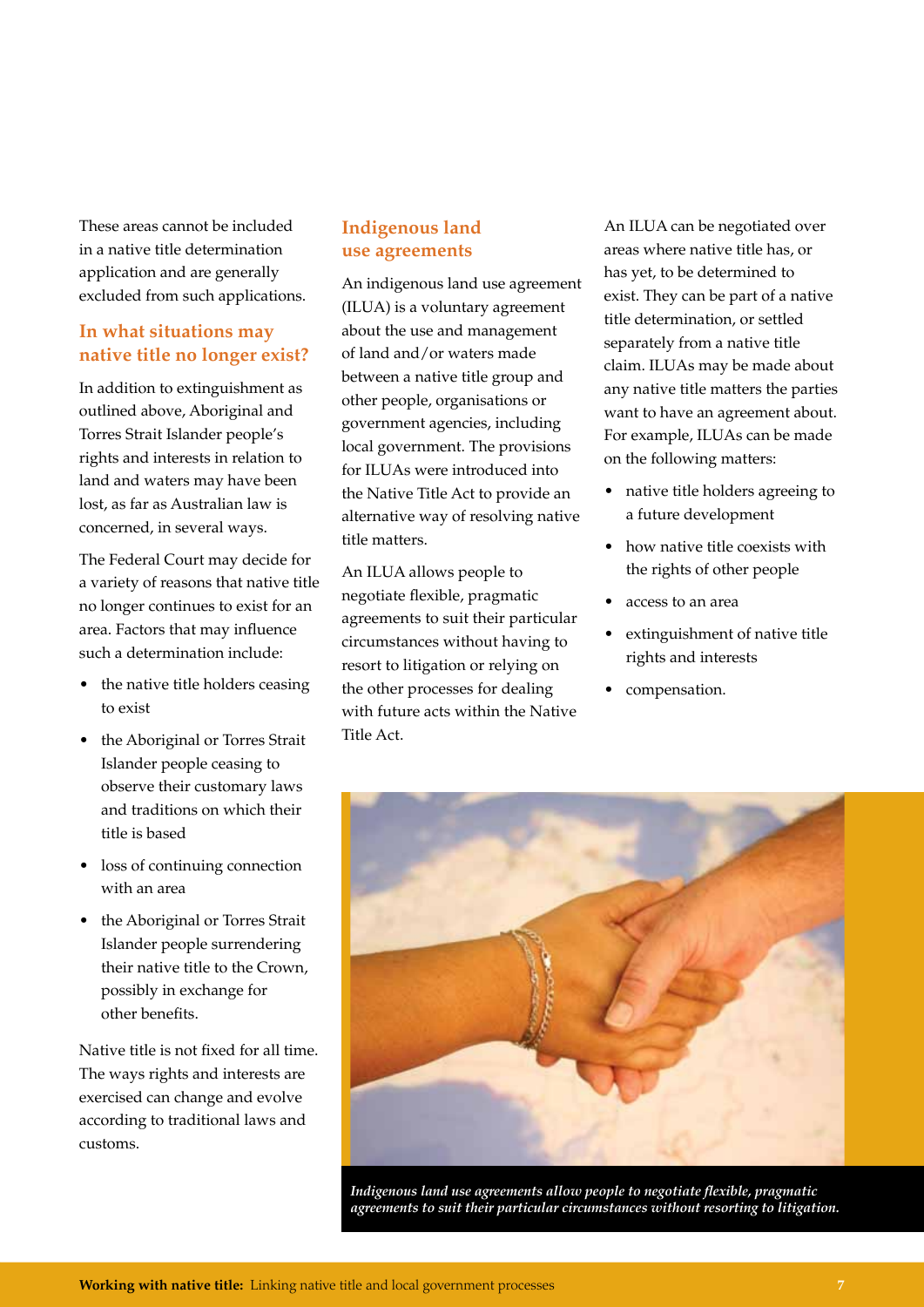These areas cannot be included in a native title determination application and are generally excluded from such applications.

### **In what situations may native title no longer exist?**

In addition to extinguishment as outlined above, Aboriginal and Torres Strait Islander people's rights and interests in relation to land and waters may have been lost, as far as Australian law is concerned, in several ways.

The Federal Court may decide for a variety of reasons that native title no longer continues to exist for an area. Factors that may influence such a determination include:

- the native title holders ceasing to exist
- the Aboriginal or Torres Strait Islander people ceasing to observe their customary laws and traditions on which their title is based
- loss of continuing connection with an area
- the Aboriginal or Torres Strait Islander people surrendering their native title to the Crown, possibly in exchange for other benefits.

Native title is not fixed for all time. The ways rights and interests are exercised can change and evolve according to traditional laws and customs.

### **Indigenous land use agreements**

An indigenous land use agreement (ILUA) is a voluntary agreement about the use and management of land and/or waters made between a native title group and other people, organisations or government agencies, including local government. The provisions for ILUAs were introduced into the Native Title Act to provide an alternative way of resolving native title matters.

An ILUA allows people to negotiate flexible, pragmatic agreements to suit their particular circumstances without having to resort to litigation or relying on the other processes for dealing with future acts within the Native Title Act.

An ILUA can be negotiated over areas where native title has, or has yet, to be determined to exist. They can be part of a native title determination, or settled separately from a native title claim. ILUAs may be made about any native title matters the parties want to have an agreement about. For example, ILUAs can be made on the following matters:

- native title holders agreeing to a future development
- how native title coexists with the rights of other people
- access to an area
- extinguishment of native title rights and interests
- compensation.



*Indigenous land use agreements allow people to negotiate flexible, pragmatic agreements to suit their particular circumstances without resorting to litigation.*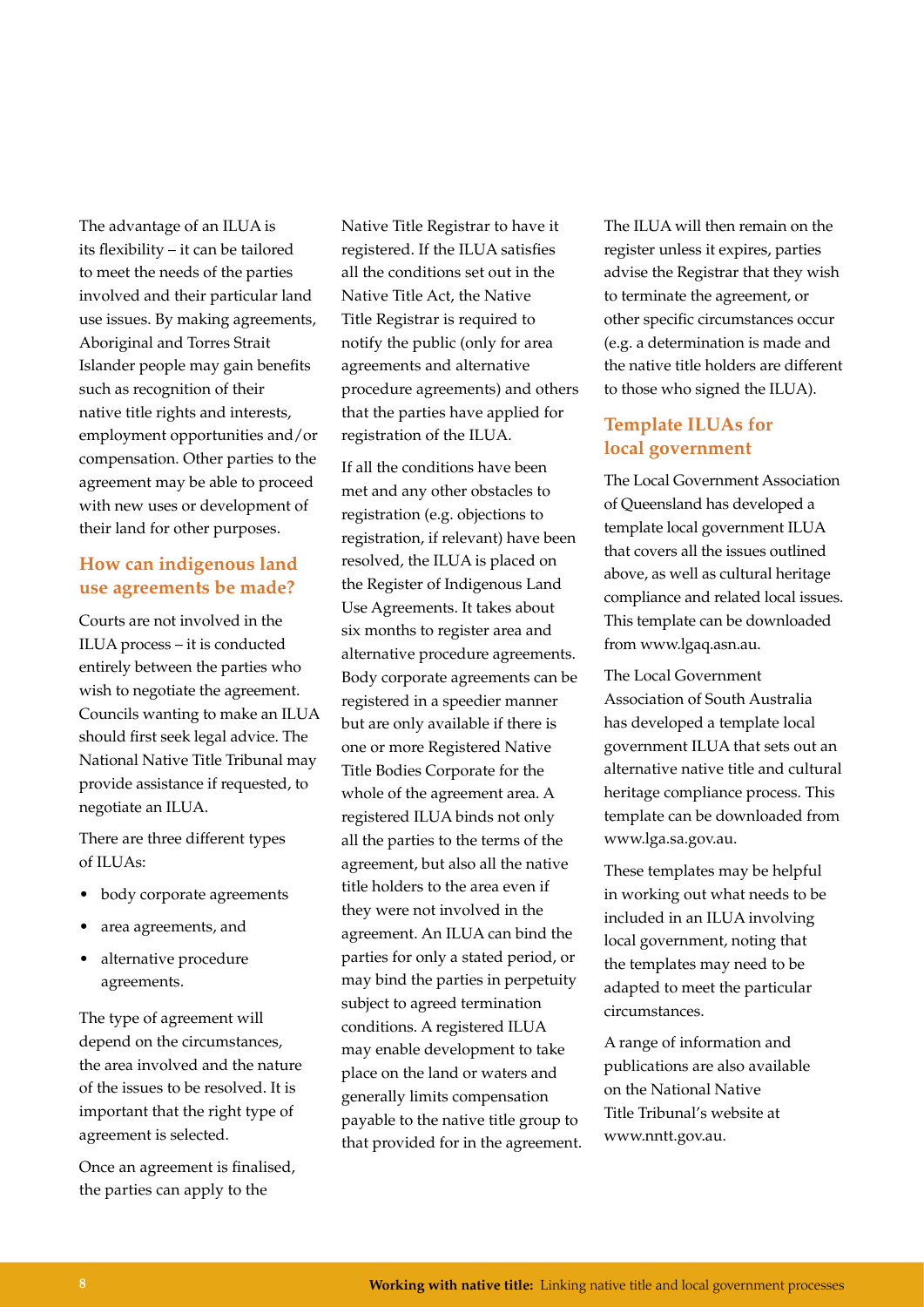The advantage of an ILUA is its flexibility – it can be tailored to meet the needs of the parties involved and their particular land use issues. By making agreements, Aboriginal and Torres Strait Islander people may gain benefits such as recognition of their native title rights and interests, employment opportunities and/or compensation. Other parties to the agreement may be able to proceed with new uses or development of their land for other purposes.

### **How can indigenous land use agreements be made?**

Courts are not involved in the ILUA process – it is conducted entirely between the parties who wish to negotiate the agreement. Councils wanting to make an ILUA should first seek legal advice. The National Native Title Tribunal may provide assistance if requested, to negotiate an ILUA.

There are three different types of ILUAs:

- body corporate agreements
- area agreements, and
- alternative procedure agreements.

The type of agreement will depend on the circumstances, the area involved and the nature of the issues to be resolved. It is important that the right type of agreement is selected.

Once an agreement is finalised, the parties can apply to the

Native Title Registrar to have it registered. If the ILUA satisfies all the conditions set out in the Native Title Act, the Native Title Registrar is required to notify the public (only for area agreements and alternative procedure agreements) and others that the parties have applied for registration of the ILUA.

If all the conditions have been met and any other obstacles to registration (e.g. objections to registration, if relevant) have been resolved, the ILUA is placed on the Register of Indigenous Land Use Agreements. It takes about six months to register area and alternative procedure agreements. Body corporate agreements can be registered in a speedier manner but are only available if there is one or more Registered Native Title Bodies Corporate for the whole of the agreement area. A registered ILUA binds not only all the parties to the terms of the agreement, but also all the native title holders to the area even if they were not involved in the agreement. An ILUA can bind the parties for only a stated period, or may bind the parties in perpetuity subject to agreed termination conditions. A registered ILUA may enable development to take place on the land or waters and generally limits compensation payable to the native title group to that provided for in the agreement. The ILUA will then remain on the register unless it expires, parties advise the Registrar that they wish to terminate the agreement, or other specific circumstances occur (e.g. a determination is made and the native title holders are different to those who signed the ILUA).

### **Template ILUAs for local government**

The Local Government Association of Queensland has developed a template local government ILUA that covers all the issues outlined above, as well as cultural heritage compliance and related local issues. This template can be downloaded from www.lgaq.asn.au.

The Local Government Association of South Australia has developed a template local government ILUA that sets out an alternative native title and cultural heritage compliance process. This template can be downloaded from www.lga.sa.gov.au.

These templates may be helpful in working out what needs to be included in an ILUA involving local government, noting that the templates may need to be adapted to meet the particular circumstances.

A range of information and publications are also available on the National Native Title Tribunal's website at www.nntt.gov.au.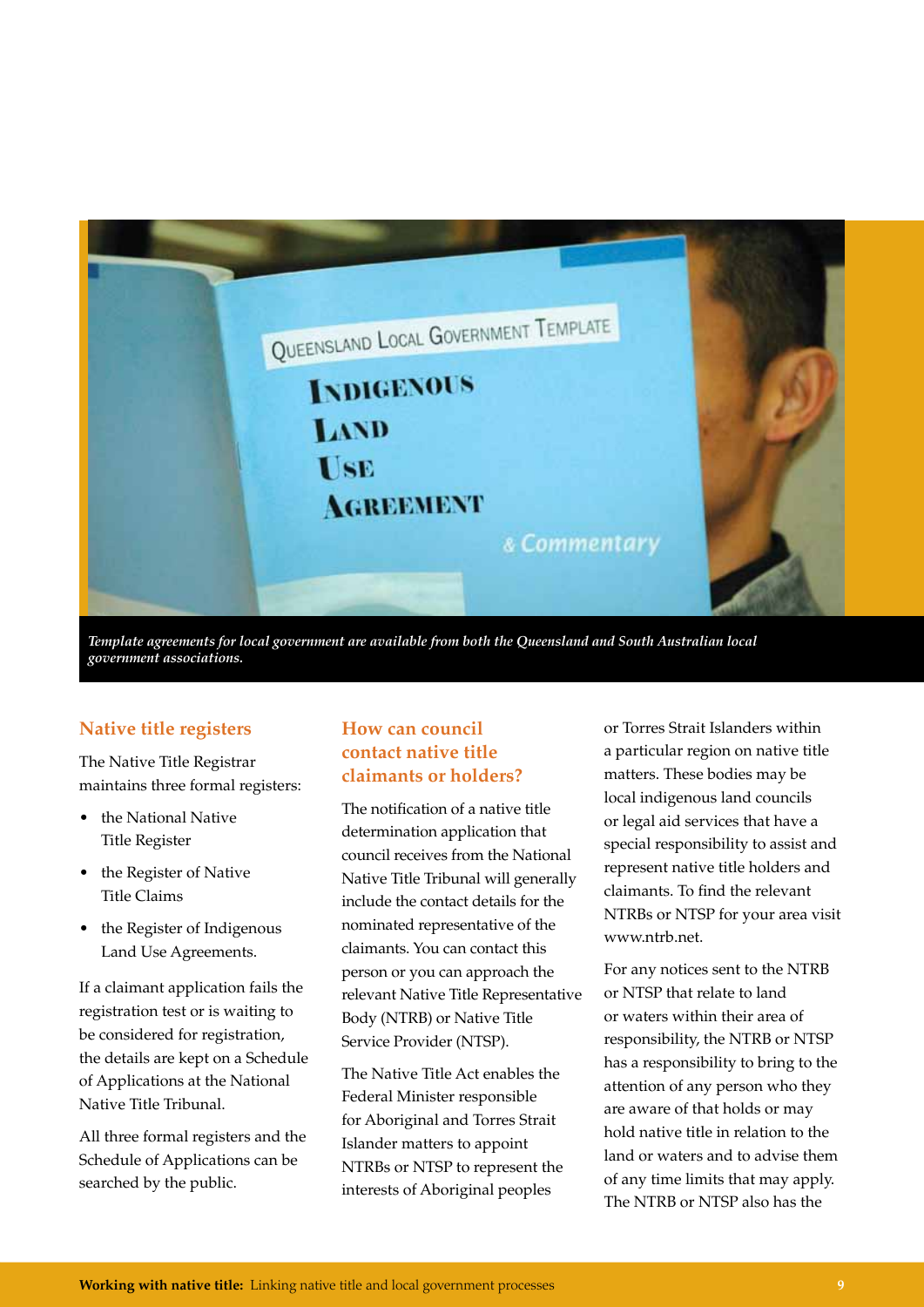

*Template agreements for local government are available from both the Queensland and South Australian local government associations.*

### **Native title registers**

The Native Title Registrar maintains three formal registers:

- the National Native Title Register
- the Register of Native Title Claims
- the Register of Indigenous Land Use Agreements.

If a claimant application fails the registration test or is waiting to be considered for registration, the details are kept on a Schedule of Applications at the National Native Title Tribunal.

All three formal registers and the Schedule of Applications can be searched by the public.

### **How can council contact native title claimants or holders?**

The notification of a native title determination application that council receives from the National Native Title Tribunal will generally include the contact details for the nominated representative of the claimants. You can contact this person or you can approach the relevant Native Title Representative Body (NTRB) or Native Title Service Provider (NTSP).

The Native Title Act enables the Federal Minister responsible for Aboriginal and Torres Strait Islander matters to appoint NTRBs or NTSP to represent the interests of Aboriginal peoples

or Torres Strait Islanders within a particular region on native title matters. These bodies may be local indigenous land councils or legal aid services that have a special responsibility to assist and represent native title holders and claimants. To find the relevant NTRBs or NTSP for your area visit www.ntrb.net.

For any notices sent to the NTRB or NTSP that relate to land or waters within their area of responsibility, the NTRB or NTSP has a responsibility to bring to the attention of any person who they are aware of that holds or may hold native title in relation to the land or waters and to advise them of any time limits that may apply. The NTRB or NTSP also has the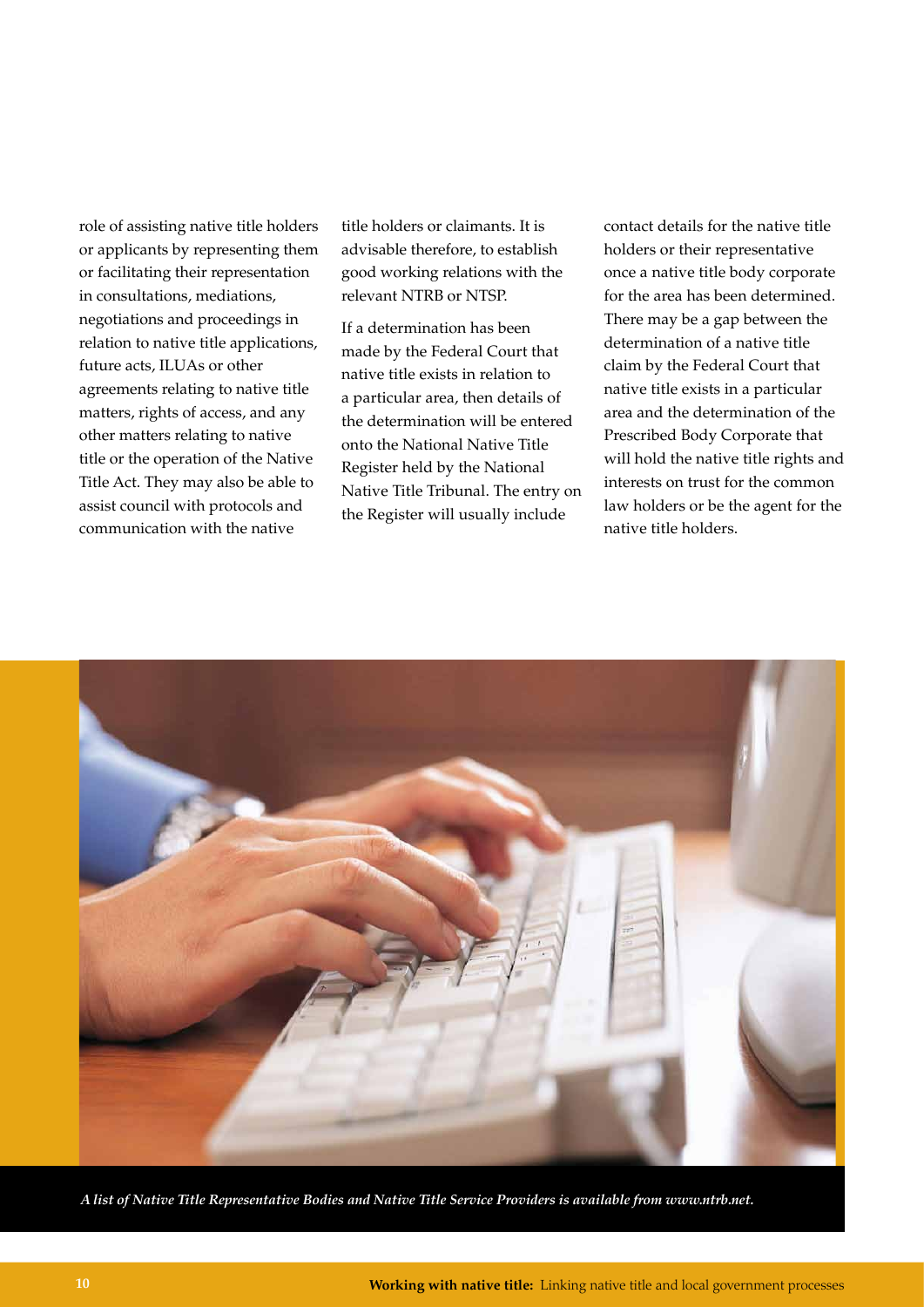role of assisting native title holders or applicants by representing them or facilitating their representation in consultations, mediations, negotiations and proceedings in relation to native title applications, future acts, ILUAs or other agreements relating to native title matters, rights of access, and any other matters relating to native title or the operation of the Native Title Act. They may also be able to assist council with protocols and communication with the native

title holders or claimants. It is advisable therefore, to establish good working relations with the relevant NTRB or NTSP.

If a determination has been made by the Federal Court that native title exists in relation to a particular area, then details of the determination will be entered onto the National Native Title Register held by the National Native Title Tribunal. The entry on the Register will usually include

contact details for the native title holders or their representative once a native title body corporate for the area has been determined. There may be a gap between the determination of a native title claim by the Federal Court that native title exists in a particular area and the determination of the Prescribed Body Corporate that will hold the native title rights and interests on trust for the common law holders or be the agent for the native title holders.



*A list of Native Title Representative Bodies and Native Title Service Providers is available from www.ntrb.net.*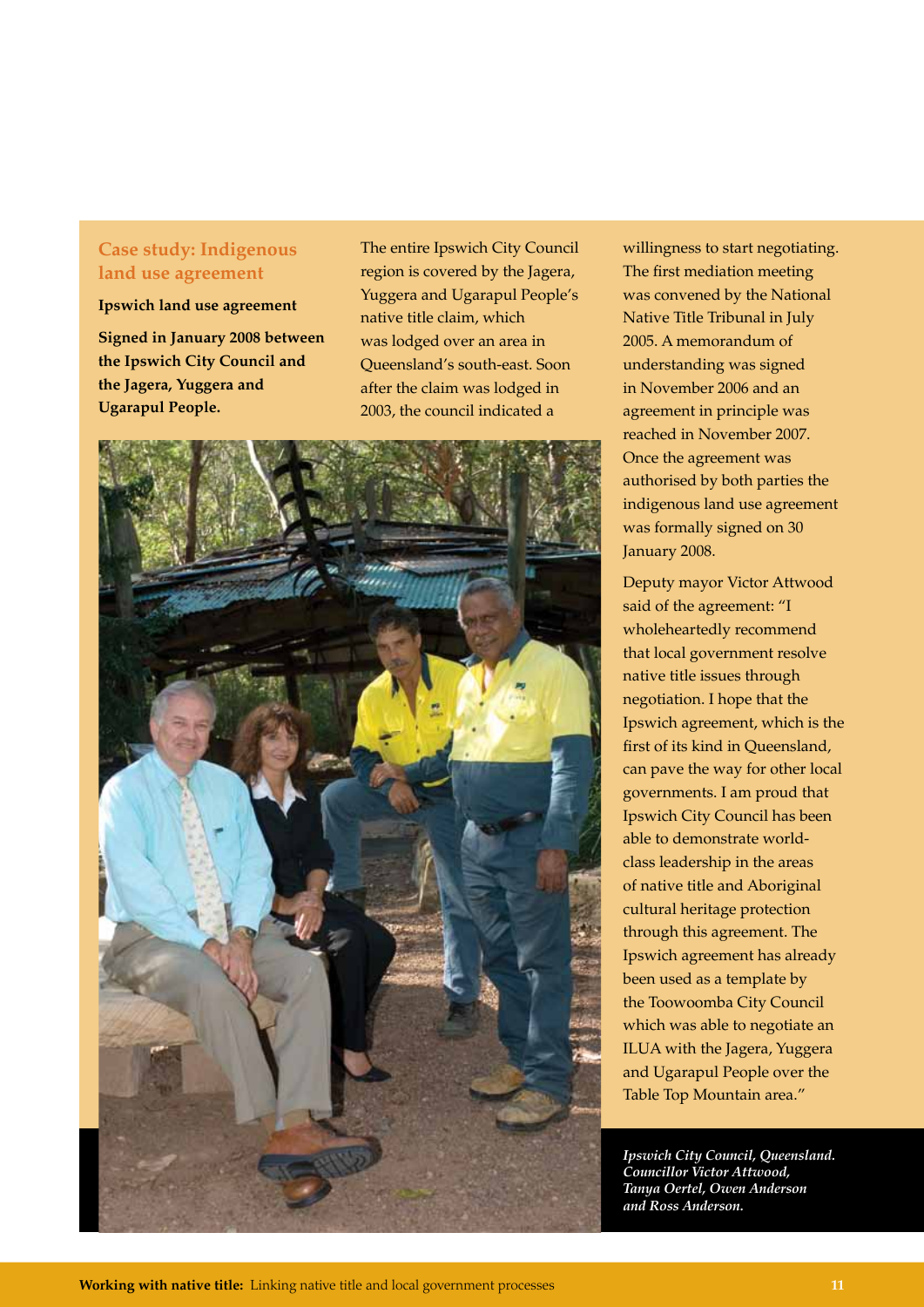### **Case study: Indigenous land use agreement**

**Ipswich land use agreement** 

**Signed in January 2008 between the Ipswich City Council and the Jagera, Yuggera and Ugarapul People.** 

The entire Ipswich City Council region is covered by the Jagera, Yuggera and Ugarapul People's native title claim, which was lodged over an area in Queensland's south-east. Soon after the claim was lodged in 2003, the council indicated a



willingness to start negotiating. The first mediation meeting was convened by the National Native Title Tribunal in July 2005. A memorandum of understanding was signed in November 2006 and an agreement in principle was reached in November 2007. Once the agreement was authorised by both parties the indigenous land use agreement was formally signed on 30 January 2008.

Deputy mayor Victor Attwood said of the agreement: "I wholeheartedly recommend that local government resolve native title issues through negotiation. I hope that the Ipswich agreement, which is the first of its kind in Queensland, can pave the way for other local governments. I am proud that Ipswich City Council has been able to demonstrate worldclass leadership in the areas of native title and Aboriginal cultural heritage protection through this agreement. The Ipswich agreement has already been used as a template by the Toowoomba City Council which was able to negotiate an ILUA with the Jagera, Yuggera and Ugarapul People over the Table Top Mountain area."

*Ipswich City Council, Queensland. Councillor Victor Attwood, Tanya Oertel, Owen Anderson and Ross Anderson.*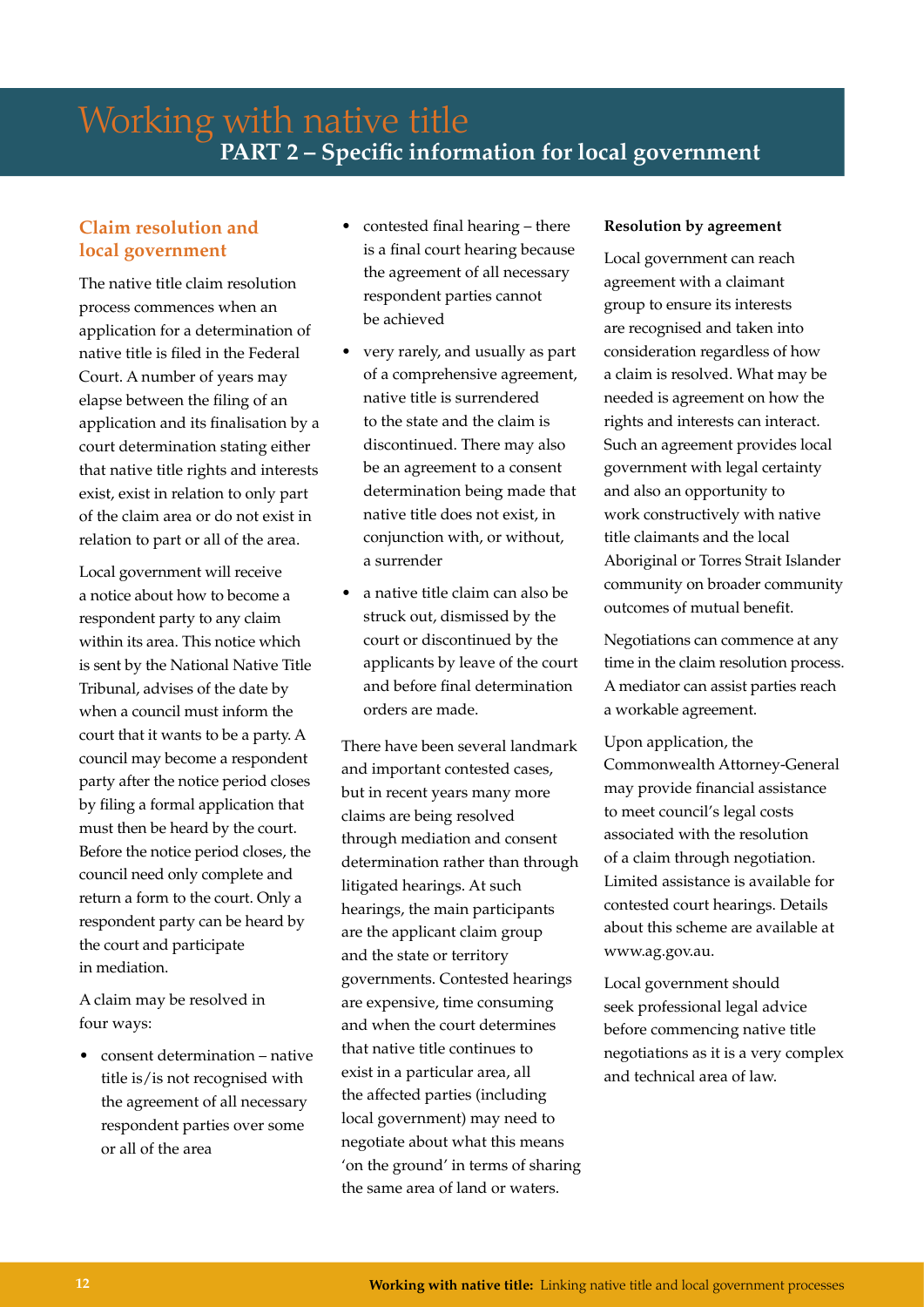### **Claim resolution and local government**

The native title claim resolution process commences when an application for a determination of native title is filed in the Federal Court. A number of years may elapse between the filing of an application and its finalisation by a court determination stating either that native title rights and interests exist, exist in relation to only part of the claim area or do not exist in relation to part or all of the area.

Local government will receive a notice about how to become a respondent party to any claim within its area. This notice which is sent by the National Native Title Tribunal, advises of the date by when a council must inform the court that it wants to be a party. A council may become a respondent party after the notice period closes by filing a formal application that must then be heard by the court. Before the notice period closes, the council need only complete and return a form to the court. Only a respondent party can be heard by the court and participate in mediation.

A claim may be resolved in four ways:

• consent determination – native title is/is not recognised with the agreement of all necessary respondent parties over some or all of the area

- contested final hearing there is a final court hearing because the agreement of all necessary respondent parties cannot be achieved
- very rarely, and usually as part of a comprehensive agreement, native title is surrendered to the state and the claim is discontinued. There may also be an agreement to a consent determination being made that native title does not exist, in conjunction with, or without, a surrender
- a native title claim can also be struck out, dismissed by the court or discontinued by the applicants by leave of the court and before final determination orders are made.

There have been several landmark and important contested cases, but in recent years many more claims are being resolved through mediation and consent determination rather than through litigated hearings. At such hearings, the main participants are the applicant claim group and the state or territory governments. Contested hearings are expensive, time consuming and when the court determines that native title continues to exist in a particular area, all the affected parties (including local government) may need to negotiate about what this means 'on the ground' in terms of sharing the same area of land or waters.

### **Resolution by agreement**

Local government can reach agreement with a claimant group to ensure its interests are recognised and taken into consideration regardless of how a claim is resolved. What may be needed is agreement on how the rights and interests can interact. Such an agreement provides local government with legal certainty and also an opportunity to work constructively with native title claimants and the local Aboriginal or Torres Strait Islander community on broader community outcomes of mutual benefit.

Negotiations can commence at any time in the claim resolution process. A mediator can assist parties reach a workable agreement.

Upon application, the Commonwealth Attorney-General may provide financial assistance to meet council's legal costs associated with the resolution of a claim through negotiation. Limited assistance is available for contested court hearings. Details about this scheme are available at www.ag.gov.au.

Local government should seek professional legal advice before commencing native title negotiations as it is a very complex and technical area of law.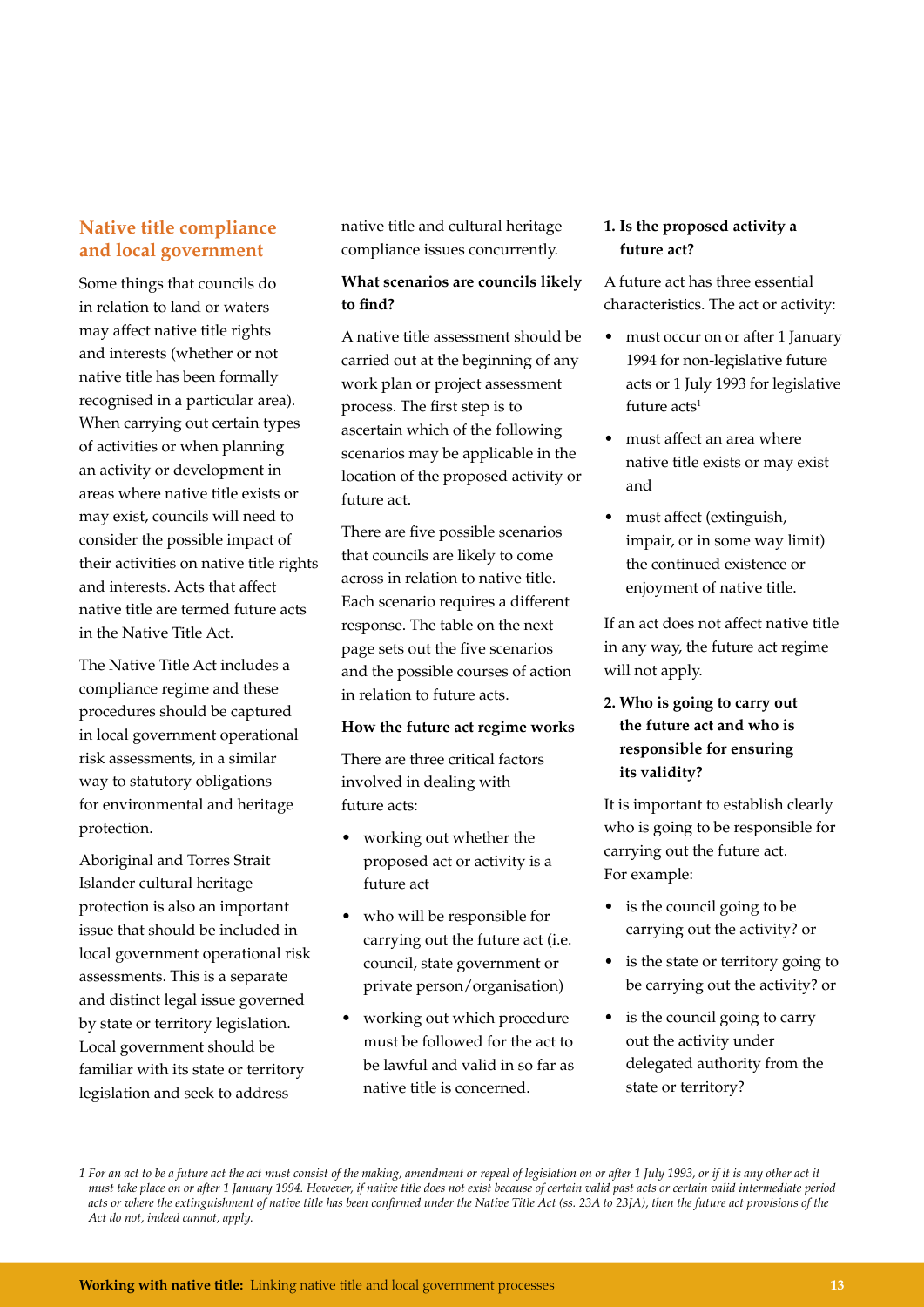### **Native title compliance and local government**

Some things that councils do in relation to land or waters may affect native title rights and interests (whether or not native title has been formally recognised in a particular area). When carrying out certain types of activities or when planning an activity or development in areas where native title exists or may exist, councils will need to consider the possible impact of their activities on native title rights and interests. Acts that affect native title are termed future acts in the Native Title Act.

The Native Title Act includes a compliance regime and these procedures should be captured in local government operational risk assessments, in a similar way to statutory obligations for environmental and heritage protection.

Aboriginal and Torres Strait Islander cultural heritage protection is also an important issue that should be included in local government operational risk assessments. This is a separate and distinct legal issue governed by state or territory legislation. Local government should be familiar with its state or territory legislation and seek to address

native title and cultural heritage compliance issues concurrently.

### **What scenarios are councils likely to find?**

A native title assessment should be carried out at the beginning of any work plan or project assessment process. The first step is to ascertain which of the following scenarios may be applicable in the location of the proposed activity or future act.

There are five possible scenarios that councils are likely to come across in relation to native title. Each scenario requires a different response. The table on the next page sets out the five scenarios and the possible courses of action in relation to future acts.

### **How the future act regime works**

There are three critical factors involved in dealing with future acts:

- working out whether the proposed act or activity is a future act
- who will be responsible for carrying out the future act (i.e. council, state government or private person/organisation)
- working out which procedure must be followed for the act to be lawful and valid in so far as native title is concerned.

### **1. Is the proposed activity a future act?**

A future act has three essential characteristics. The act or activity:

- must occur on or after 1 January 1994 for non-legislative future acts or 1 July 1993 for legislative future  $\arctan$
- must affect an area where native title exists or may exist and
- must affect (extinguish, impair, or in some way limit) the continued existence or enjoyment of native title.

If an act does not affect native title in any way, the future act regime will not apply.

**2. Who is going to carry out the future act and who is responsible for ensuring its validity?**

It is important to establish clearly who is going to be responsible for carrying out the future act. For example:

- is the council going to be carrying out the activity? or
- is the state or territory going to be carrying out the activity? or
- is the council going to carry out the activity under delegated authority from the state or territory?

*<sup>1</sup> For an act to be a future act the act must consist of the making, amendment or repeal of legislation on or after 1 July 1993, or if it is any other act it must take place on or after 1 January 1994. However, if native title does not exist because of certain valid past acts or certain valid intermediate period acts or where the extinguishment of native title has been confirmed under the Native Title Act (ss. 23A to 23JA), then the future act provisions of the Act do not, indeed cannot, apply.*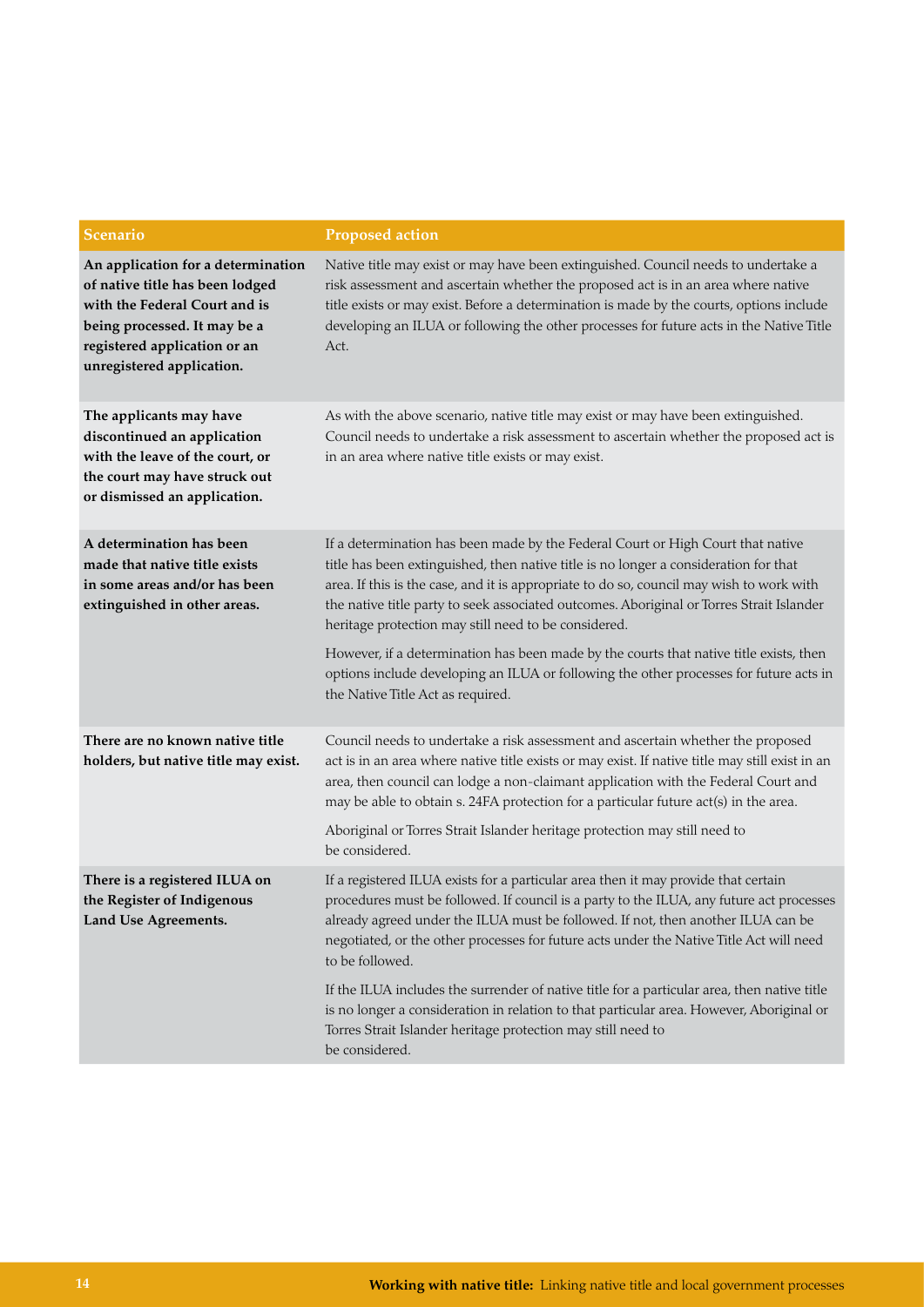| <b>Scenario</b>                                                                                                                                                                                     | <b>Proposed action</b>                                                                                                                                                                                                                                                                                                                                                                                                                                                                                                                                                                                                                                        |
|-----------------------------------------------------------------------------------------------------------------------------------------------------------------------------------------------------|---------------------------------------------------------------------------------------------------------------------------------------------------------------------------------------------------------------------------------------------------------------------------------------------------------------------------------------------------------------------------------------------------------------------------------------------------------------------------------------------------------------------------------------------------------------------------------------------------------------------------------------------------------------|
| An application for a determination<br>of native title has been lodged<br>with the Federal Court and is<br>being processed. It may be a<br>registered application or an<br>unregistered application. | Native title may exist or may have been extinguished. Council needs to undertake a<br>risk assessment and ascertain whether the proposed act is in an area where native<br>title exists or may exist. Before a determination is made by the courts, options include<br>developing an ILUA or following the other processes for future acts in the Native Title<br>Act.                                                                                                                                                                                                                                                                                        |
| The applicants may have<br>discontinued an application<br>with the leave of the court, or<br>the court may have struck out<br>or dismissed an application.                                          | As with the above scenario, native title may exist or may have been extinguished.<br>Council needs to undertake a risk assessment to ascertain whether the proposed act is<br>in an area where native title exists or may exist.                                                                                                                                                                                                                                                                                                                                                                                                                              |
| A determination has been<br>made that native title exists<br>in some areas and/or has been<br>extinguished in other areas.                                                                          | If a determination has been made by the Federal Court or High Court that native<br>title has been extinguished, then native title is no longer a consideration for that<br>area. If this is the case, and it is appropriate to do so, council may wish to work with<br>the native title party to seek associated outcomes. Aboriginal or Torres Strait Islander<br>heritage protection may still need to be considered.<br>However, if a determination has been made by the courts that native title exists, then<br>options include developing an ILUA or following the other processes for future acts in<br>the Native Title Act as required.              |
| There are no known native title<br>holders, but native title may exist.                                                                                                                             | Council needs to undertake a risk assessment and ascertain whether the proposed<br>act is in an area where native title exists or may exist. If native title may still exist in an<br>area, then council can lodge a non-claimant application with the Federal Court and<br>may be able to obtain s. 24FA protection for a particular future act(s) in the area.<br>Aboriginal or Torres Strait Islander heritage protection may still need to<br>be considered.                                                                                                                                                                                              |
| There is a registered ILUA on<br>the Register of Indigenous<br>Land Use Agreements.                                                                                                                 | If a registered ILUA exists for a particular area then it may provide that certain<br>procedures must be followed. If council is a party to the ILUA, any future act processes<br>already agreed under the ILUA must be followed. If not, then another ILUA can be<br>negotiated, or the other processes for future acts under the Native Title Act will need<br>to be followed.<br>If the ILUA includes the surrender of native title for a particular area, then native title<br>is no longer a consideration in relation to that particular area. However, Aboriginal or<br>Torres Strait Islander heritage protection may still need to<br>be considered. |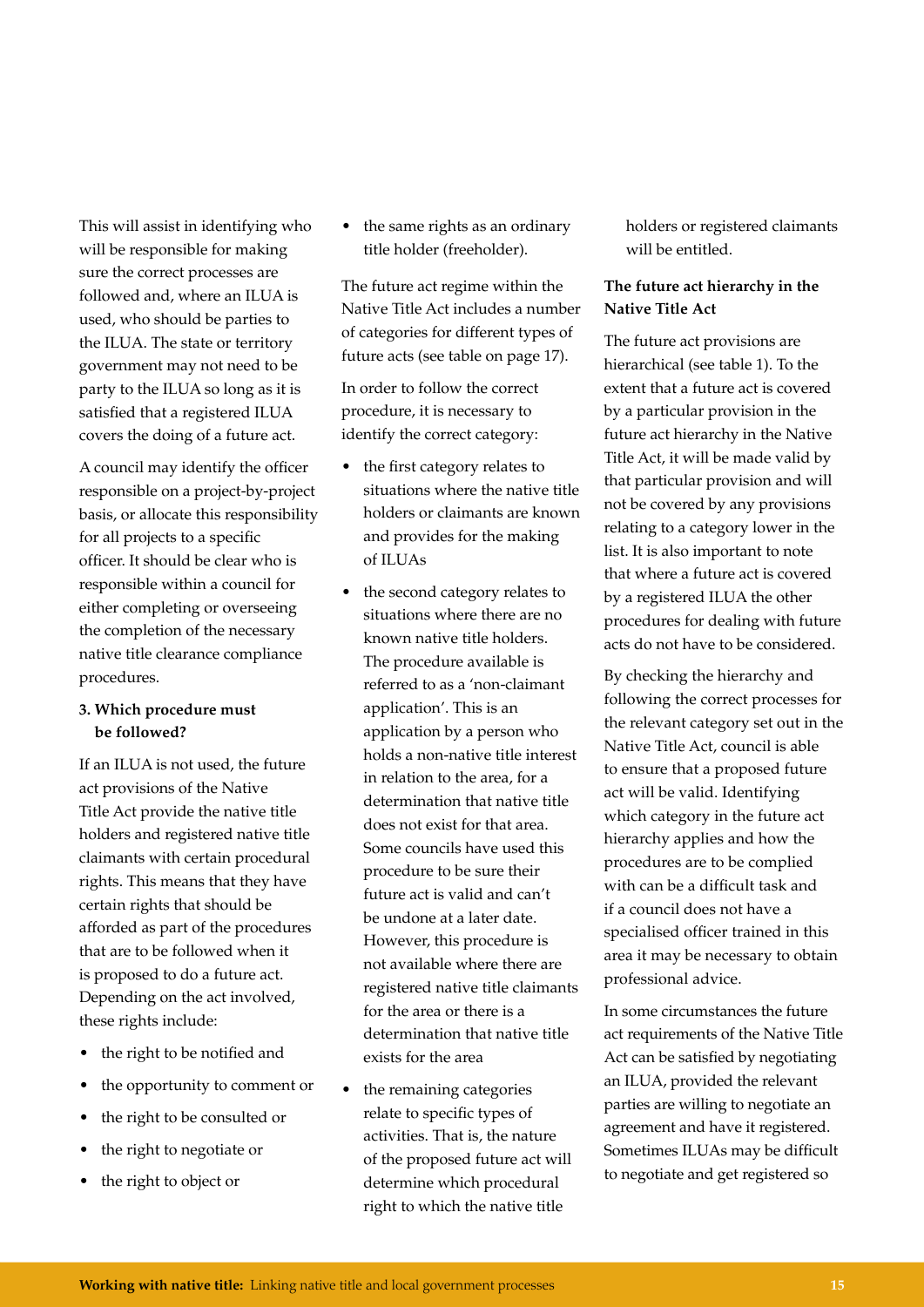This will assist in identifying who will be responsible for making sure the correct processes are followed and, where an ILUA is used, who should be parties to the ILUA. The state or territory government may not need to be party to the ILUA so long as it is satisfied that a registered ILUA covers the doing of a future act.

A council may identify the officer responsible on a project-by-project basis, or allocate this responsibility for all projects to a specific officer. It should be clear who is responsible within a council for either completing or overseeing the completion of the necessary native title clearance compliance procedures.

### **3. Which procedure must be followed?**

If an ILUA is not used, the future act provisions of the Native Title Act provide the native title holders and registered native title claimants with certain procedural rights. This means that they have certain rights that should be afforded as part of the procedures that are to be followed when it is proposed to do a future act. Depending on the act involved, these rights include:

- the right to be notified and
- the opportunity to comment or
- the right to be consulted or
- the right to negotiate or
- the right to object or

• the same rights as an ordinary title holder (freeholder).

The future act regime within the Native Title Act includes a number of categories for different types of future acts (see table on page 17).

In order to follow the correct procedure, it is necessary to identify the correct category:

- the first category relates to situations where the native title holders or claimants are known and provides for the making of ILUAs
- the second category relates to situations where there are no known native title holders. The procedure available is referred to as a 'non-claimant application'. This is an application by a person who holds a non-native title interest in relation to the area, for a determination that native title does not exist for that area. Some councils have used this procedure to be sure their future act is valid and can't be undone at a later date. However, this procedure is not available where there are registered native title claimants for the area or there is a determination that native title exists for the area
- the remaining categories relate to specific types of activities. That is, the nature of the proposed future act will determine which procedural right to which the native title

holders or registered claimants will be entitled.

### **The future act hierarchy in the Native Title Act**

The future act provisions are hierarchical (see table 1). To the extent that a future act is covered by a particular provision in the future act hierarchy in the Native Title Act, it will be made valid by that particular provision and will not be covered by any provisions relating to a category lower in the list. It is also important to note that where a future act is covered by a registered ILUA the other procedures for dealing with future acts do not have to be considered.

By checking the hierarchy and following the correct processes for the relevant category set out in the Native Title Act, council is able to ensure that a proposed future act will be valid. Identifying which category in the future act hierarchy applies and how the procedures are to be complied with can be a difficult task and if a council does not have a specialised officer trained in this area it may be necessary to obtain professional advice.

In some circumstances the future act requirements of the Native Title Act can be satisfied by negotiating an ILUA, provided the relevant parties are willing to negotiate an agreement and have it registered. Sometimes ILUAs may be difficult to negotiate and get registered so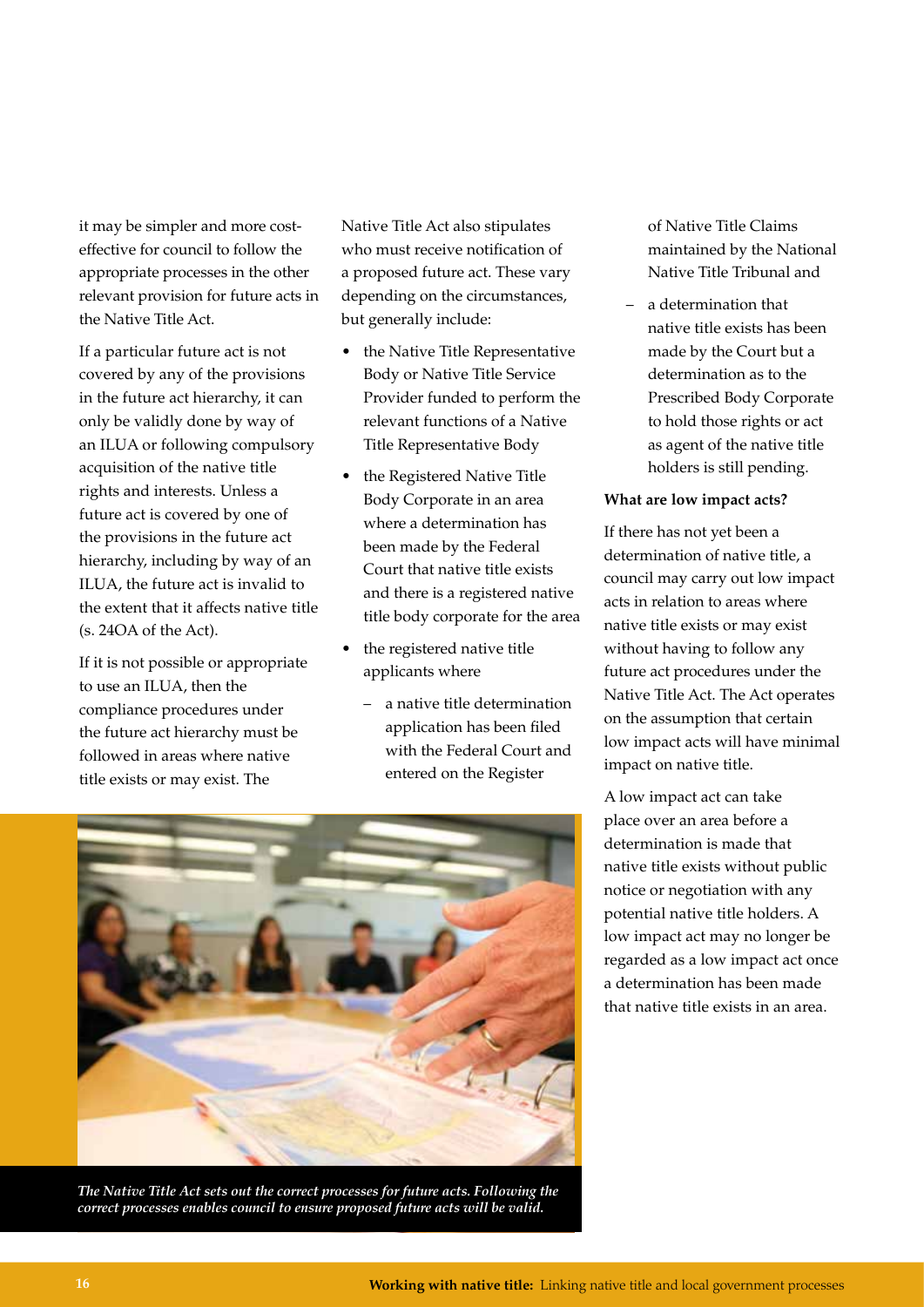it may be simpler and more costeffective for council to follow the appropriate processes in the other relevant provision for future acts in the Native Title Act.

If a particular future act is not covered by any of the provisions in the future act hierarchy, it can only be validly done by way of an ILUA or following compulsory acquisition of the native title rights and interests. Unless a future act is covered by one of the provisions in the future act hierarchy, including by way of an ILUA, the future act is invalid to the extent that it affects native title (s. 24OA of the Act).

If it is not possible or appropriate to use an ILUA, then the compliance procedures under the future act hierarchy must be followed in areas where native title exists or may exist. The

Native Title Act also stipulates who must receive notification of a proposed future act. These vary depending on the circumstances, but generally include:

- the Native Title Representative Body or Native Title Service Provider funded to perform the relevant functions of a Native Title Representative Body
- the Registered Native Title Body Corporate in an area where a determination has been made by the Federal Court that native title exists and there is a registered native title body corporate for the area
- the registered native title applicants where
	- a native title determination application has been filed with the Federal Court and entered on the Register

of Native Title Claims maintained by the National Native Title Tribunal and

– a determination that native title exists has been made by the Court but a determination as to the Prescribed Body Corporate to hold those rights or act as agent of the native title holders is still pending.

### **What are low impact acts?**

If there has not yet been a determination of native title, a council may carry out low impact acts in relation to areas where native title exists or may exist without having to follow any future act procedures under the Native Title Act. The Act operates on the assumption that certain low impact acts will have minimal impact on native title.

A low impact act can take place over an area before a determination is made that native title exists without public notice or negotiation with any potential native title holders. A low impact act may no longer be regarded as a low impact act once a determination has been made that native title exists in an area.

*The Native Title Act sets out the correct processes for future acts. Following the correct processes enables council to ensure proposed future acts will be valid.*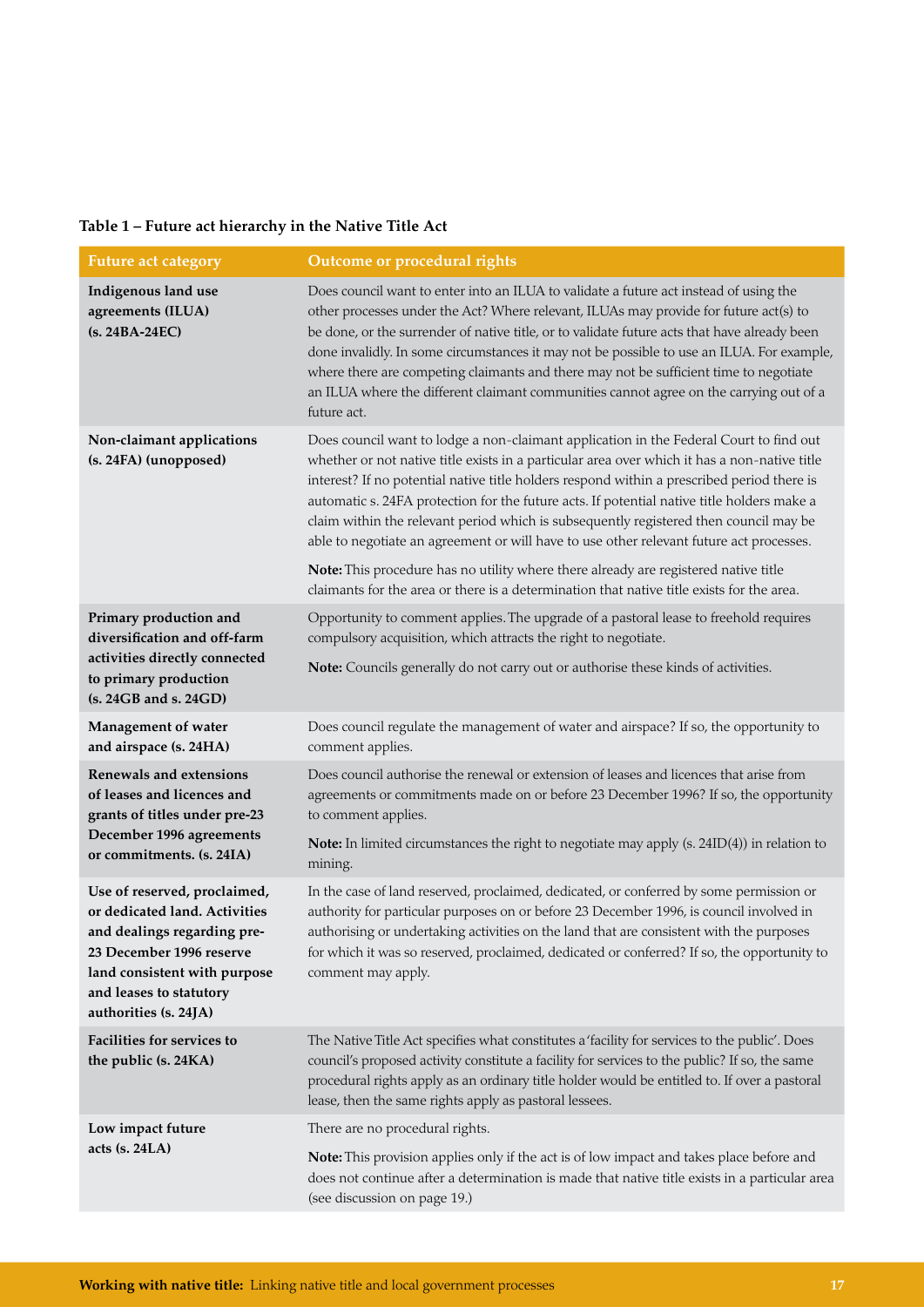### **Table 1 – Future act hierarchy in the Native Title Act**

| <b>Future act category</b>                                                                                                                                                                                   | Outcome or procedural rights                                                                                                                                                                                                                                                                                                                                                                                                                                                                                                                                                                                                                                                                                                                               |
|--------------------------------------------------------------------------------------------------------------------------------------------------------------------------------------------------------------|------------------------------------------------------------------------------------------------------------------------------------------------------------------------------------------------------------------------------------------------------------------------------------------------------------------------------------------------------------------------------------------------------------------------------------------------------------------------------------------------------------------------------------------------------------------------------------------------------------------------------------------------------------------------------------------------------------------------------------------------------------|
| Indigenous land use<br>agreements (ILUA)<br>(s. 24BA-24EC)                                                                                                                                                   | Does council want to enter into an ILUA to validate a future act instead of using the<br>other processes under the Act? Where relevant, ILUAs may provide for future act(s) to<br>be done, or the surrender of native title, or to validate future acts that have already been<br>done invalidly. In some circumstances it may not be possible to use an ILUA. For example,<br>where there are competing claimants and there may not be sufficient time to negotiate<br>an ILUA where the different claimant communities cannot agree on the carrying out of a<br>future act.                                                                                                                                                                              |
| Non-claimant applications<br>(s. 24FA) (unopposed)                                                                                                                                                           | Does council want to lodge a non-claimant application in the Federal Court to find out<br>whether or not native title exists in a particular area over which it has a non-native title<br>interest? If no potential native title holders respond within a prescribed period there is<br>automatic s. 24FA protection for the future acts. If potential native title holders make a<br>claim within the relevant period which is subsequently registered then council may be<br>able to negotiate an agreement or will have to use other relevant future act processes.<br>Note: This procedure has no utility where there already are registered native title<br>claimants for the area or there is a determination that native title exists for the area. |
| Primary production and                                                                                                                                                                                       | Opportunity to comment applies. The upgrade of a pastoral lease to freehold requires                                                                                                                                                                                                                                                                                                                                                                                                                                                                                                                                                                                                                                                                       |
| diversification and off-farm<br>activities directly connected                                                                                                                                                | compulsory acquisition, which attracts the right to negotiate.                                                                                                                                                                                                                                                                                                                                                                                                                                                                                                                                                                                                                                                                                             |
| to primary production<br>(s. 24GB and s. 24GD)                                                                                                                                                               | Note: Councils generally do not carry out or authorise these kinds of activities.                                                                                                                                                                                                                                                                                                                                                                                                                                                                                                                                                                                                                                                                          |
| Management of water<br>and airspace (s. 24HA)                                                                                                                                                                | Does council regulate the management of water and airspace? If so, the opportunity to<br>comment applies.                                                                                                                                                                                                                                                                                                                                                                                                                                                                                                                                                                                                                                                  |
| <b>Renewals and extensions</b><br>of leases and licences and<br>grants of titles under pre-23<br>December 1996 agreements<br>or commitments. (s. 24IA)                                                       | Does council authorise the renewal or extension of leases and licences that arise from<br>agreements or commitments made on or before 23 December 1996? If so, the opportunity<br>to comment applies.                                                                                                                                                                                                                                                                                                                                                                                                                                                                                                                                                      |
|                                                                                                                                                                                                              | Note: In limited circumstances the right to negotiate may apply (s. $24ID(4)$ ) in relation to<br>mining.                                                                                                                                                                                                                                                                                                                                                                                                                                                                                                                                                                                                                                                  |
| Use of reserved, proclaimed,<br>or dedicated land. Activities<br>and dealings regarding pre-<br>23 December 1996 reserve<br>land consistent with purpose<br>and leases to statutory<br>authorities (s. 24JA) | In the case of land reserved, proclaimed, dedicated, or conferred by some permission or<br>authority for particular purposes on or before 23 December 1996, is council involved in<br>authorising or undertaking activities on the land that are consistent with the purposes<br>for which it was so reserved, proclaimed, dedicated or conferred? If so, the opportunity to<br>comment may apply.                                                                                                                                                                                                                                                                                                                                                         |
| Facilities for services to<br>the public (s. 24KA)                                                                                                                                                           | The Native Title Act specifies what constitutes a 'facility for services to the public'. Does<br>council's proposed activity constitute a facility for services to the public? If so, the same<br>procedural rights apply as an ordinary title holder would be entitled to. If over a pastoral<br>lease, then the same rights apply as pastoral lessees.                                                                                                                                                                                                                                                                                                                                                                                                   |
| Low impact future                                                                                                                                                                                            | There are no procedural rights.                                                                                                                                                                                                                                                                                                                                                                                                                                                                                                                                                                                                                                                                                                                            |
| acts $(s. 24LA)$                                                                                                                                                                                             | Note: This provision applies only if the act is of low impact and takes place before and<br>does not continue after a determination is made that native title exists in a particular area<br>(see discussion on page 19.)                                                                                                                                                                                                                                                                                                                                                                                                                                                                                                                                  |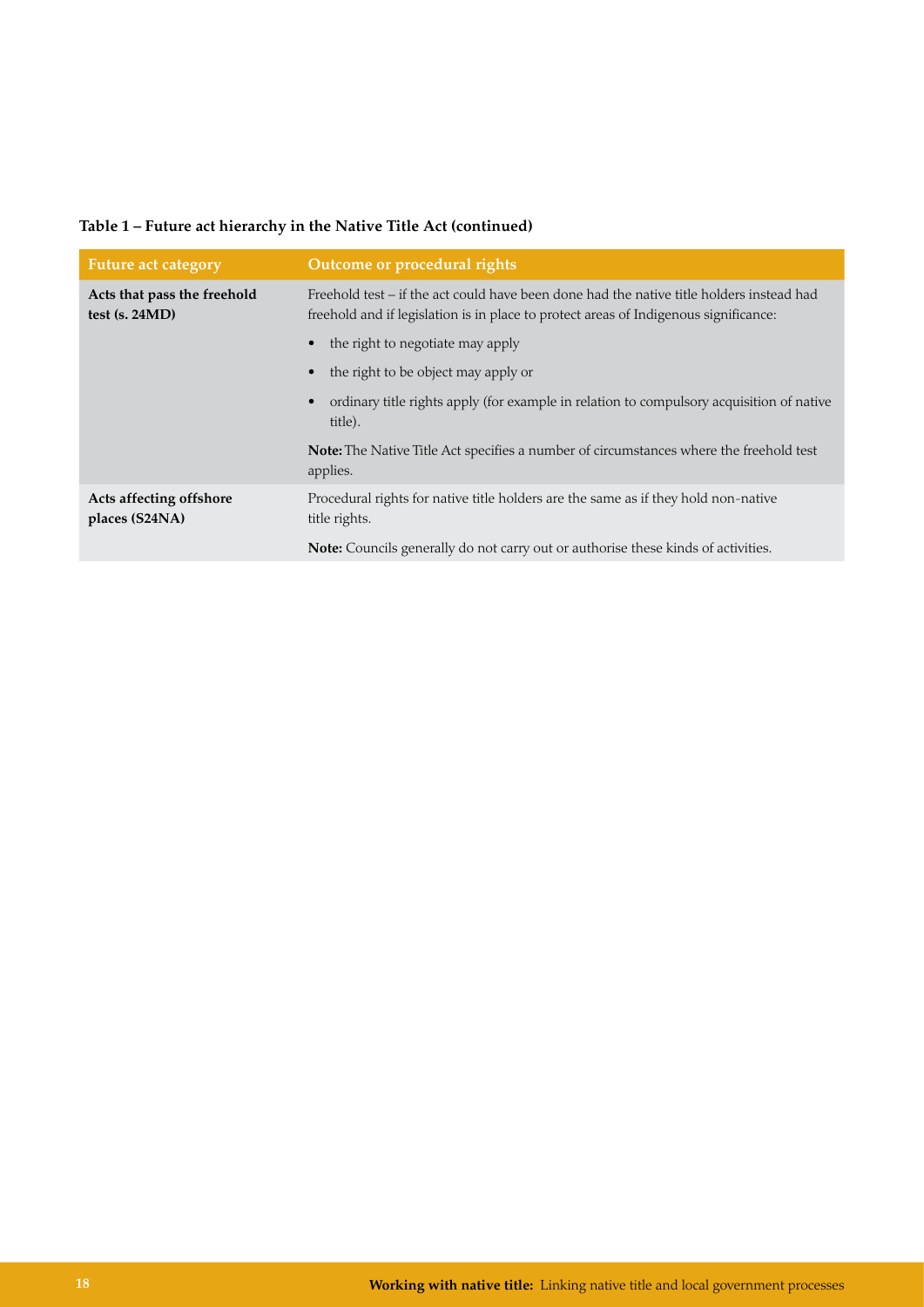| Table 1 – Future act hierarchy in the Native Title Act (continued) |  |  |
|--------------------------------------------------------------------|--|--|
|--------------------------------------------------------------------|--|--|

| <b>Future act category</b>                      | Outcome or procedural rights                                                                                                                                                     |
|-------------------------------------------------|----------------------------------------------------------------------------------------------------------------------------------------------------------------------------------|
| Acts that pass the freehold<br>test $(s. 24MD)$ | Freehold test – if the act could have been done had the native title holders instead had<br>freehold and if legislation is in place to protect areas of Indigenous significance: |
|                                                 | the right to negotiate may apply<br>$\bullet$                                                                                                                                    |
|                                                 | the right to be object may apply or<br>$\bullet$                                                                                                                                 |
|                                                 | ordinary title rights apply (for example in relation to compulsory acquisition of native<br>$\bullet$<br>title).                                                                 |
|                                                 | Note: The Native Title Act specifies a number of circumstances where the freehold test<br>applies.                                                                               |
| Acts affecting offshore<br>places (S24NA)       | Procedural rights for native title holders are the same as if they hold non-native<br>title rights.                                                                              |
|                                                 | <b>Note:</b> Councils generally do not carry out or authorise these kinds of activities.                                                                                         |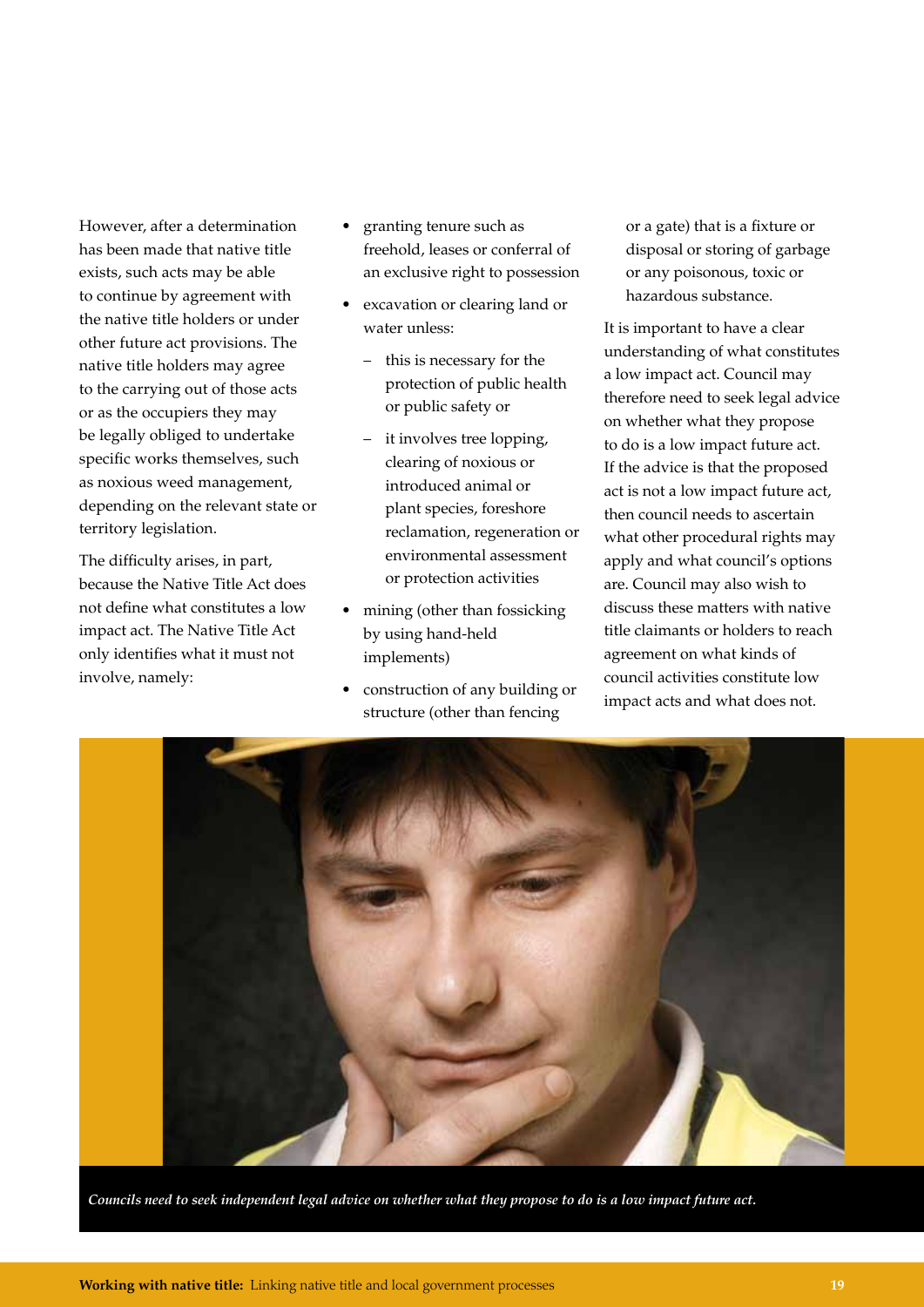However, after a determination has been made that native title exists, such acts may be able to continue by agreement with the native title holders or under other future act provisions. The native title holders may agree to the carrying out of those acts or as the occupiers they may be legally obliged to undertake specific works themselves, such as noxious weed management, depending on the relevant state or territory legislation.

The difficulty arises, in part, because the Native Title Act does not define what constitutes a low impact act. The Native Title Act only identifies what it must not involve, namely:

- granting tenure such as freehold, leases or conferral of an exclusive right to possession
- excavation or clearing land or water unless:
	- this is necessary for the protection of public health or public safety or
	- it involves tree lopping, clearing of noxious or introduced animal or plant species, foreshore reclamation, regeneration or environmental assessment or protection activities
- mining (other than fossicking by using hand-held implements)
- construction of any building or structure (other than fencing

or a gate) that is a fixture or disposal or storing of garbage or any poisonous, toxic or hazardous substance.

It is important to have a clear understanding of what constitutes a low impact act. Council may therefore need to seek legal advice on whether what they propose to do is a low impact future act. If the advice is that the proposed act is not a low impact future act, then council needs to ascertain what other procedural rights may apply and what council's options are. Council may also wish to discuss these matters with native title claimants or holders to reach agreement on what kinds of council activities constitute low impact acts and what does not.



*Councils need to seek independent legal advice on whether what they propose to do is a low impact future act.*